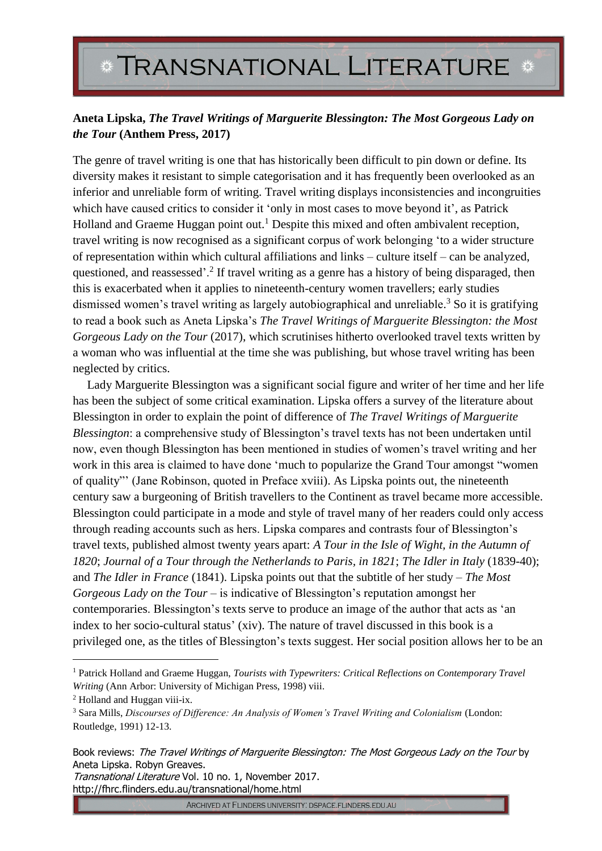## **TRANSNATIONAL LITERATURE**

## **Aneta Lipska,** *The Travel Writings of Marguerite Blessington: The Most Gorgeous Lady on the Tour* **(Anthem Press, 2017)**

The genre of travel writing is one that has historically been difficult to pin down or define. Its diversity makes it resistant to simple categorisation and it has frequently been overlooked as an inferior and unreliable form of writing. Travel writing displays inconsistencies and incongruities which have caused critics to consider it 'only in most cases to move beyond it', as Patrick Holland and Graeme Huggan point out.<sup>1</sup> Despite this mixed and often ambivalent reception, travel writing is now recognised as a significant corpus of work belonging 'to a wider structure of representation within which cultural affiliations and links – culture itself – can be analyzed, questioned, and reassessed'.<sup>2</sup> If travel writing as a genre has a history of being disparaged, then this is exacerbated when it applies to nineteenth-century women travellers; early studies dismissed women's travel writing as largely autobiographical and unreliable.<sup>3</sup> So it is gratifying to read a book such as Aneta Lipska's *The Travel Writings of Marguerite Blessington: the Most Gorgeous Lady on the Tour* (2017), which scrutinises hitherto overlooked travel texts written by a woman who was influential at the time she was publishing, but whose travel writing has been neglected by critics.

Lady Marguerite Blessington was a significant social figure and writer of her time and her life has been the subject of some critical examination. Lipska offers a survey of the literature about Blessington in order to explain the point of difference of *The Travel Writings of Marguerite Blessington*: a comprehensive study of Blessington's travel texts has not been undertaken until now, even though Blessington has been mentioned in studies of women's travel writing and her work in this area is claimed to have done 'much to popularize the Grand Tour amongst "women of quality"' (Jane Robinson, quoted in Preface xviii). As Lipska points out, the nineteenth century saw a burgeoning of British travellers to the Continent as travel became more accessible. Blessington could participate in a mode and style of travel many of her readers could only access through reading accounts such as hers. Lipska compares and contrasts four of Blessington's travel texts, published almost twenty years apart: *A Tour in the Isle of Wight, in the Autumn of 1820*; *Journal of a Tour through the Netherlands to Paris, in 1821*; *The Idler in Italy* (1839-40); and *The Idler in France* (1841). Lipska points out that the subtitle of her study – *The Most Gorgeous Lady on the Tour* – is indicative of Blessington's reputation amongst her contemporaries. Blessington's texts serve to produce an image of the author that acts as 'an index to her socio-cultural status' (xiv). The nature of travel discussed in this book is a privileged one, as the titles of Blessington's texts suggest. Her social position allows her to be an

<u>.</u>

Transnational Literature Vol. 10 no. 1, November 2017. http://fhrc.flinders.edu.au/transnational/home.html

ARCHIVED AT FLINDERS UNIVERSITY: DSPACE.FLINDERS.EDU.AU

<sup>1</sup> Patrick Holland and Graeme Huggan, *Tourists with Typewriters: Critical Reflections on Contemporary Travel Writing* (Ann Arbor: University of Michigan Press, 1998) viii.

<sup>2</sup> Holland and Huggan viii-ix.

<sup>3</sup> Sara Mills, *Discourses of Difference: An Analysis of Women's Travel Writing and Colonialism* (London: Routledge, 1991) 12-13.

Book reviews: The Travel Writings of Marguerite Blessington: The Most Gorgeous Lady on the Tour by Aneta Lipska. Robyn Greaves.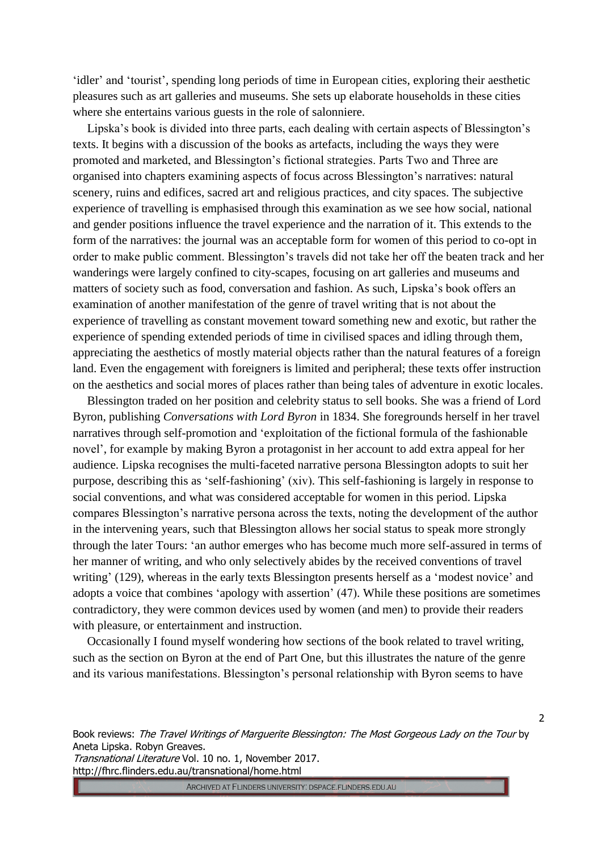'idler' and 'tourist', spending long periods of time in European cities, exploring their aesthetic pleasures such as art galleries and museums. She sets up elaborate households in these cities where she entertains various guests in the role of salonniere.

Lipska's book is divided into three parts, each dealing with certain aspects of Blessington's texts. It begins with a discussion of the books as artefacts, including the ways they were promoted and marketed, and Blessington's fictional strategies. Parts Two and Three are organised into chapters examining aspects of focus across Blessington's narratives: natural scenery, ruins and edifices, sacred art and religious practices, and city spaces. The subjective experience of travelling is emphasised through this examination as we see how social, national and gender positions influence the travel experience and the narration of it. This extends to the form of the narratives: the journal was an acceptable form for women of this period to co-opt in order to make public comment. Blessington's travels did not take her off the beaten track and her wanderings were largely confined to city-scapes, focusing on art galleries and museums and matters of society such as food, conversation and fashion. As such, Lipska's book offers an examination of another manifestation of the genre of travel writing that is not about the experience of travelling as constant movement toward something new and exotic, but rather the experience of spending extended periods of time in civilised spaces and idling through them, appreciating the aesthetics of mostly material objects rather than the natural features of a foreign land. Even the engagement with foreigners is limited and peripheral; these texts offer instruction on the aesthetics and social mores of places rather than being tales of adventure in exotic locales.

Blessington traded on her position and celebrity status to sell books. She was a friend of Lord Byron, publishing *Conversations with Lord Byron* in 1834. She foregrounds herself in her travel narratives through self-promotion and 'exploitation of the fictional formula of the fashionable novel', for example by making Byron a protagonist in her account to add extra appeal for her audience. Lipska recognises the multi-faceted narrative persona Blessington adopts to suit her purpose, describing this as 'self-fashioning' (xiv). This self-fashioning is largely in response to social conventions, and what was considered acceptable for women in this period. Lipska compares Blessington's narrative persona across the texts, noting the development of the author in the intervening years, such that Blessington allows her social status to speak more strongly through the later Tours: 'an author emerges who has become much more self-assured in terms of her manner of writing, and who only selectively abides by the received conventions of travel writing' (129), whereas in the early texts Blessington presents herself as a 'modest novice' and adopts a voice that combines 'apology with assertion' (47). While these positions are sometimes contradictory, they were common devices used by women (and men) to provide their readers with pleasure, or entertainment and instruction.

Occasionally I found myself wondering how sections of the book related to travel writing, such as the section on Byron at the end of Part One, but this illustrates the nature of the genre and its various manifestations. Blessington's personal relationship with Byron seems to have

Book reviews: The Travel Writings of Marguerite Blessington: The Most Gorgeous Lady on the Tour by Aneta Lipska. Robyn Greaves.

Transnational Literature Vol. 10 no. 1, November 2017. http://fhrc.flinders.edu.au/transnational/home.html

ARCHIVED AT FLINDERS UNIVERSITY: DSPACE.FLINDERS.EDU.AU

2